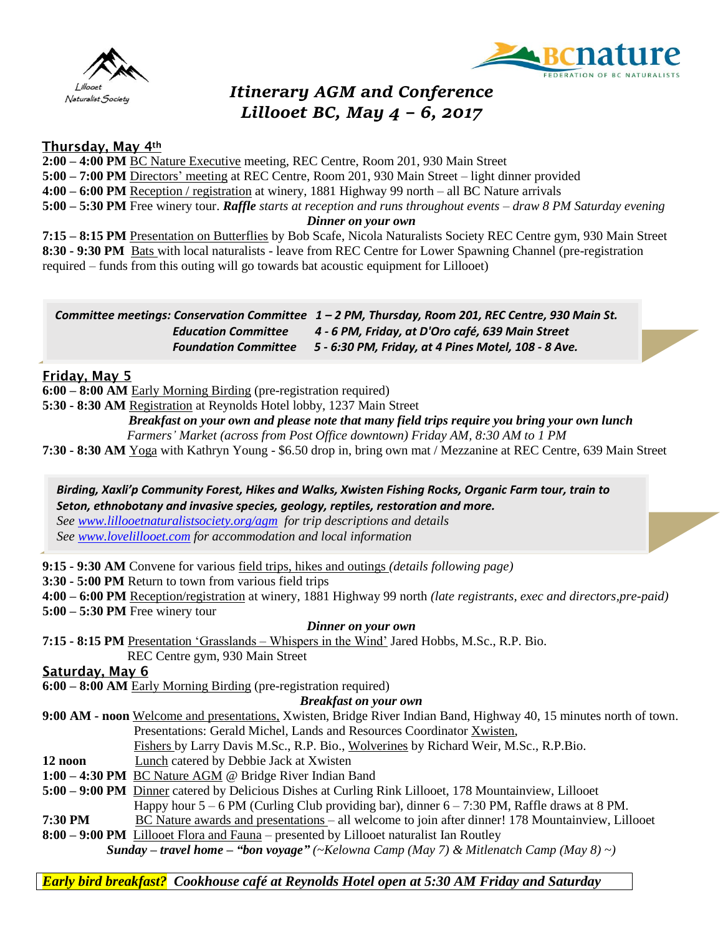



# *Itinerary AGM and Conference Lillooet BC, May 4 – 6, 2017*

## Thursday, May 4th

**2:00 – 4:00 PM** BC Nature Executive meeting, REC Centre, Room 201, 930 Main Street

**5:00 – 7:00 PM** Directors' meeting at REC Centre, Room 201, 930 Main Street – light dinner provided

**4:00 – 6:00 PM** Reception / registration at winery, 1881 Highway 99 north – all BC Nature arrivals

**5:00 – 5:30 PM** Free winery tour. *Raffle starts at reception and runs throughout events – draw 8 PM Saturday evening*

*Dinner on your own*

**7:15 – 8:15 PM** Presentation on Butterflies by Bob Scafe, Nicola Naturalists Society REC Centre gym, 930 Main Street **8:30 - 9:30 PM** Bats with local naturalists - leave from REC Centre for Lower Spawning Channel (pre-registration required – funds from this outing will go towards bat acoustic equipment for Lillooet)

|                            | Committee meetings: Conservation Committee $1 - 2$ PM, Thursday, Room 201, REC Centre, 930 Main St. |
|----------------------------|-----------------------------------------------------------------------------------------------------|
| <b>Education Committee</b> | 4 - 6 PM, Friday, at D'Oro café, 639 Main Street                                                    |
|                            | Foundation Committee 5 - 6:30 PM, Friday, at 4 Pines Motel, 108 - 8 Ave.                            |

**6:00 – 8:00 AM** Early Morning Birding (pre-registration required)

**5:30 - 8:30 AM** Registration at Reynolds Hotel lobby, 1237 Main Street

 *Breakfast on your own and please note that many field trips require you bring your own lunch Farmers' Market (across from Post Office downtown) Friday AM, 8:30 AM to 1 PM*

**7:30 - 8:30 AM** Yoga with Kathryn Young - \$6.50 drop in, bring own mat / Mezzanine at REC Centre, 639 Main Street

*Birding, Xaxli'p Community Forest, Hikes and Walks, Xwisten Fishing Rocks, Organic Farm tour, train to Seton, ethnobotany and invasive species, geology, reptiles, restoration and more. See [www.lillooetnaturalistsociety.org/agm](http://www.lillooetnaturalistsociety.org/agm) for trip descriptions and details See [www.lovelillooet.com](http://www.lovelillooet.com/) for accommodation and local information*

**9:15 - 9:30 AM** Convene for various field trips, hikes and outings *(details following page)*

**3:30 - 5:00 PM** Return to town from various field trips

**4:00 – 6:00 PM** Reception/registration at winery, 1881 Highway 99 north *(late registrants, exec and directors,pre-paid)*

**5:00 – 5:30 PM** Free winery tour

### *Dinner on your own*

**7:15 - 8:15 PM** Presentation 'Grasslands – Whispers in the Wind' Jared Hobbs, M.Sc., R.P. Bio. REC Centre gym, 930 Main Street

Saturday, May 6

**6:00 – 8:00 AM** Early Morning Birding (pre-registration required)

### *Breakfast on your own*

**9:00 AM - noon** Welcome and presentations, Xwisten, Bridge River Indian Band, Highway 40, 15 minutes north of town. Presentations: Gerald Michel, Lands and Resources Coordinator Xwisten,

- Fishers by Larry Davis M.Sc., R.P. Bio., Wolverines by Richard Weir, M.Sc., R.P.Bio.
- **12 noon** Lunch catered by Debbie Jack at Xwisten
- **1:00 – 4:30 PM** BC Nature AGM @ Bridge River Indian Band
- **5:00 – 9:00 PM** Dinner catered by Delicious Dishes at Curling Rink Lillooet, 178 Mountainview, Lillooet

Happy hour  $5 - 6$  PM (Curling Club providing bar), dinner  $6 - 7:30$  PM, Raffle draws at 8 PM.

- **7:30 PM** BC Nature awards and presentations all welcome to join after dinner! 178 Mountainview, Lillooet
- **8:00 – 9:00 PM** Lillooet Flora and Fauna presented by Lillooet naturalist Ian Routley *Sunday – travel home – "bon voyage" (~Kelowna Camp (May 7) & Mitlenatch Camp (May 8) ~)*